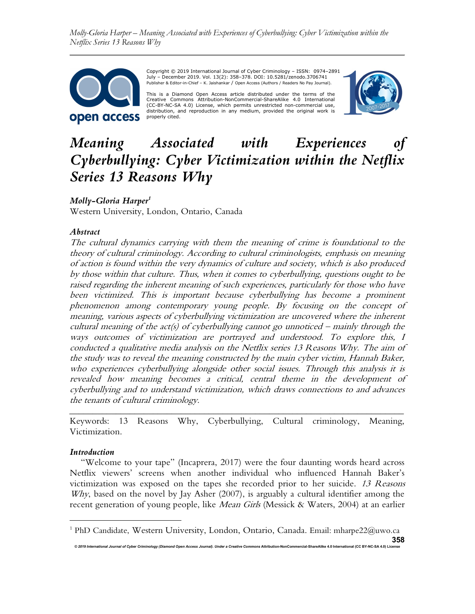Molly-Gloria Harper – Meaning Associated with Experiences of Cyberbullying: Cyber Victimization within the Netflix Series 13 Reasons Why



Copyright © 2019 International Journal of Cyber Criminology – ISSN: 0974–2891 July – December 2019. Vol. 13(2): 358–378. DOI: 10.5281/zenodo.3706741 Publisher & Editor-in-Chief – K. Jaishankar / Open Access (Authors / Readers No Pay Journal).

This is a Diamond Open Access article distributed under the terms of the Creative Commons Attribution-NonCommercial-ShareAlike 4.0 International (CC-BY-NC-SA 4.0) License, which permits unrestricted non-commercial use, distribution, and reproduction in any medium, provided the original work is properly cited.



# Meaning Associated with Experiences of Cyberbullying: Cyber Victimization within the Netflix Series 13 Reasons Why

## Molly-Gloria Harper<sup>1</sup>

Western University, London, Ontario, Canada

#### Abstract

The cultural dynamics carrying with them the meaning of crime is foundational to the theory of cultural criminology. According to cultural criminologists, emphasis on meaning of action is found within the very dynamics of culture and society, which is also produced by those within that culture. Thus, when it comes to cyberbullying, questions ought to be raised regarding the inherent meaning of such experiences, particularly for those who have been victimized. This is important because cyberbullying has become a prominent phenomenon among contemporary young people. By focusing on the concept of meaning, various aspects of cyberbullying victimization are uncovered where the inherent cultural meaning of the act(s) of cyberbullying cannot go unnoticed – mainly through the ways outcomes of victimization are portrayed and understood. To explore this, I conducted a qualitative media analysis on the Netflix series 13 Reasons Why. The aim of the study was to reveal the meaning constructed by the main cyber victim, Hannah Baker, who experiences cyberbullying alongside other social issues. Through this analysis it is revealed how meaning becomes a critical, central theme in the development of cyberbullying and to understand victimization, which draws connections to and advances the tenants of cultural criminology.

\_\_\_\_\_\_\_\_\_\_\_\_\_\_\_\_\_\_\_\_\_\_\_\_\_\_\_\_\_\_\_\_\_\_\_\_\_\_\_\_\_\_\_\_\_\_\_\_\_\_\_\_\_\_\_\_\_\_\_\_\_\_\_\_\_\_\_\_\_\_\_\_ Keywords: 13 Reasons Why, Cyberbullying, Cultural criminology, Meaning, Victimization.

#### Introduction

"Welcome to your tape" (Incaprera, 2017) were the four daunting words heard across Netflix viewers' screens when another individual who influenced Hannah Baker's victimization was exposed on the tapes she recorded prior to her suicide. 13 Reasons Why, based on the novel by Jay Asher (2007), is arguably a cultural identifier among the recent generation of young people, like *Mean Girls* (Messick & Waters, 2004) at an earlier

<sup>© 2019</sup> International Journal of Cyber Criminology (Diamond Open Access Journal). Under a Creative Commons Attribution-NonCommercial-ShareAlike 4.0 International (CC BY-NC-SA 4 358 <sup>1</sup> PhD Candidate, Western University, London, Ontario, Canada. Email: mharpe22@uwo.ca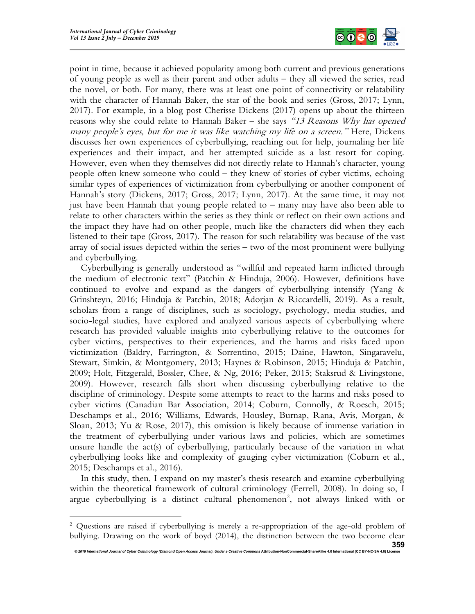

point in time, because it achieved popularity among both current and previous generations of young people as well as their parent and other adults – they all viewed the series, read the novel, or both. For many, there was at least one point of connectivity or relatability with the character of Hannah Baker, the star of the book and series (Gross, 2017; Lynn, 2017). For example, in a blog post Cherisse Dickens (2017) opens up about the thirteen reasons why she could relate to Hannah Baker – she says "13 Reasons Why has opened many people's eyes, but for me it was like watching my life on a screen." Here, Dickens discusses her own experiences of cyberbullying, reaching out for help, journaling her life experiences and their impact, and her attempted suicide as a last resort for coping. However, even when they themselves did not directly relate to Hannah's character, young people often knew someone who could – they knew of stories of cyber victims, echoing similar types of experiences of victimization from cyberbullying or another component of Hannah's story (Dickens, 2017; Gross, 2017; Lynn, 2017). At the same time, it may not just have been Hannah that young people related to – many may have also been able to relate to other characters within the series as they think or reflect on their own actions and the impact they have had on other people, much like the characters did when they each listened to their tape (Gross, 2017). The reason for such relatability was because of the vast array of social issues depicted within the series – two of the most prominent were bullying and cyberbullying.

Cyberbullying is generally understood as "willful and repeated harm inflicted through the medium of electronic text" (Patchin & Hinduja, 2006). However, definitions have continued to evolve and expand as the dangers of cyberbullying intensify (Yang & Grinshteyn, 2016; Hinduja & Patchin, 2018; Adorjan & Riccardelli, 2019). As a result, scholars from a range of disciplines, such as sociology, psychology, media studies, and socio-legal studies, have explored and analyzed various aspects of cyberbullying where research has provided valuable insights into cyberbullying relative to the outcomes for cyber victims, perspectives to their experiences, and the harms and risks faced upon victimization (Baldry, Farrington, & Sorrentino, 2015; Daine, Hawton, Singaravelu, Stewart, Simkin, & Montgomery, 2013; Haynes & Robinson, 2015; Hinduja & Patchin, 2009; Holt, Fitzgerald, Bossler, Chee, & Ng, 2016; Peker, 2015; Staksrud & Livingstone, 2009). However, research falls short when discussing cyberbullying relative to the discipline of criminology. Despite some attempts to react to the harms and risks posed to cyber victims (Canadian Bar Association, 2014; Coburn, Connolly, & Roesch, 2015; Deschamps et al., 2016; Williams, Edwards, Housley, Burnap, Rana, Avis, Morgan, & Sloan, 2013; Yu & Rose, 2017), this omission is likely because of immense variation in the treatment of cyberbullying under various laws and policies, which are sometimes unsure handle the act(s) of cyberbullying, particularly because of the variation in what cyberbullying looks like and complexity of gauging cyber victimization (Coburn et al., 2015; Deschamps et al., 2016).

In this study, then, I expand on my master's thesis research and examine cyberbullying within the theoretical framework of cultural criminology (Ferrell, 2008). In doing so, I argue cyberbullying is a distinct cultural phenomenon<sup>2</sup>, not always linked with or

<sup>&</sup>lt;sup>2</sup> Questions are raised if cyberbullying is merely a re-appropriation of the age-old problem of bullying. Drawing on the work of boyd (2014), the distinction between the two become clear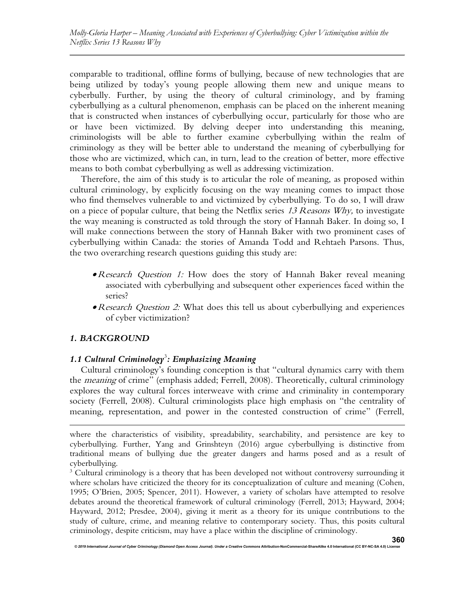comparable to traditional, offline forms of bullying, because of new technologies that are being utilized by today's young people allowing them new and unique means to cyberbully. Further, by using the theory of cultural criminology, and by framing cyberbullying as a cultural phenomenon, emphasis can be placed on the inherent meaning that is constructed when instances of cyberbullying occur, particularly for those who are or have been victimized. By delving deeper into understanding this meaning, criminologists will be able to further examine cyberbullying within the realm of criminology as they will be better able to understand the meaning of cyberbullying for those who are victimized, which can, in turn, lead to the creation of better, more effective means to both combat cyberbullying as well as addressing victimization.

Therefore, the aim of this study is to articular the role of meaning, as proposed within cultural criminology, by explicitly focusing on the way meaning comes to impact those who find themselves vulnerable to and victimized by cyberbullying. To do so, I will draw on a piece of popular culture, that being the Netflix series  $13$  Reasons Why, to investigate the way meaning is constructed as told through the story of Hannah Baker. In doing so, I will make connections between the story of Hannah Baker with two prominent cases of cyberbullying within Canada: the stories of Amanda Todd and Rehtaeh Parsons. Thus, the two overarching research questions guiding this study are:

- Research Question 1: How does the story of Hannah Baker reveal meaning associated with cyberbullying and subsequent other experiences faced within the series?
- Research Question 2: What does this tell us about cyberbullying and experiences of cyber victimization?

## 1. BACKGROUND

# 1.1 Cultural Criminology<sup>3</sup>: Emphasizing Meaning

Cultural criminology's founding conception is that "cultural dynamics carry with them the *meaning* of crime" (emphasis added; Ferrell, 2008). Theoretically, cultural criminology explores the way cultural forces interweave with crime and criminality in contemporary society (Ferrell, 2008). Cultural criminologists place high emphasis on "the centrality of meaning, representation, and power in the contested construction of crime" (Ferrell,

where the characteristics of visibility, spreadability, searchability, and persistence are key to cyberbullying. Further, Yang and Grinshteyn (2016) argue cyberbullying is distinctive from traditional means of bullying due the greater dangers and harms posed and as a result of cyberbullying.

<sup>&</sup>lt;sup>3</sup> Cultural criminology is a theory that has been developed not without controversy surrounding it where scholars have criticized the theory for its conceptualization of culture and meaning (Cohen, 1995; O'Brien, 2005; Spencer, 2011). However, a variety of scholars have attempted to resolve debates around the theoretical framework of cultural criminology (Ferrell, 2013; Hayward, 2004; Hayward, 2012; Presdee, 2004), giving it merit as a theory for its unique contributions to the study of culture, crime, and meaning relative to contemporary society. Thus, this posits cultural criminology, despite criticism, may have a place within the discipline of criminology.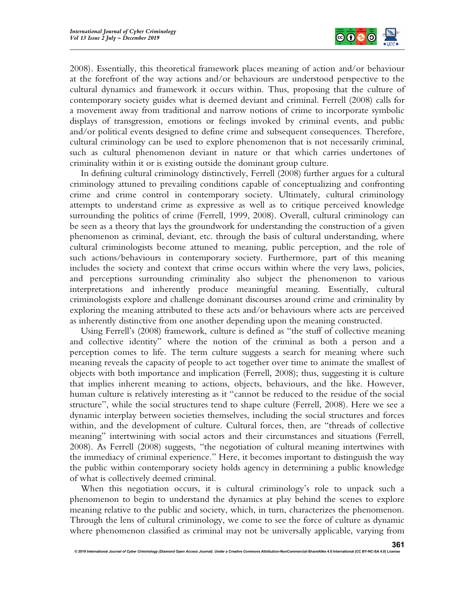

2008). Essentially, this theoretical framework places meaning of action and/or behaviour at the forefront of the way actions and/or behaviours are understood perspective to the cultural dynamics and framework it occurs within. Thus, proposing that the culture of contemporary society guides what is deemed deviant and criminal. Ferrell (2008) calls for a movement away from traditional and narrow notions of crime to incorporate symbolic displays of transgression, emotions or feelings invoked by criminal events, and public and/or political events designed to define crime and subsequent consequences. Therefore, cultural criminology can be used to explore phenomenon that is not necessarily criminal, such as cultural phenomenon deviant in nature or that which carries undertones of criminality within it or is existing outside the dominant group culture.

In defining cultural criminology distinctively, Ferrell (2008) further argues for a cultural criminology attuned to prevailing conditions capable of conceptualizing and confronting crime and crime control in contemporary society. Ultimately, cultural criminology attempts to understand crime as expressive as well as to critique perceived knowledge surrounding the politics of crime (Ferrell, 1999, 2008). Overall, cultural criminology can be seen as a theory that lays the groundwork for understanding the construction of a given phenomenon as criminal, deviant, etc. through the basis of cultural understanding, where cultural criminologists become attuned to meaning, public perception, and the role of such actions/behaviours in contemporary society. Furthermore, part of this meaning includes the society and context that crime occurs within where the very laws, policies, and perceptions surrounding criminality also subject the phenomenon to various interpretations and inherently produce meaningful meaning. Essentially, cultural criminologists explore and challenge dominant discourses around crime and criminality by exploring the meaning attributed to these acts and/or behaviours where acts are perceived as inherently distinctive from one another depending upon the meaning constructed.

Using Ferrell's (2008) framework, culture is defined as "the stuff of collective meaning and collective identity" where the notion of the criminal as both a person and a perception comes to life. The term culture suggests a search for meaning where such meaning reveals the capacity of people to act together over time to animate the smallest of objects with both importance and implication (Ferrell, 2008); thus, suggesting it is culture that implies inherent meaning to actions, objects, behaviours, and the like. However, human culture is relatively interesting as it "cannot be reduced to the residue of the social structure", while the social structures tend to shape culture (Ferrell, 2008). Here we see a dynamic interplay between societies themselves, including the social structures and forces within, and the development of culture. Cultural forces, then, are "threads of collective meaning" intertwining with social actors and their circumstances and situations (Ferrell, 2008). As Ferrell (2008) suggests, "the negotiation of cultural meaning intertwines with the immediacy of criminal experience." Here, it becomes important to distinguish the way the public within contemporary society holds agency in determining a public knowledge of what is collectively deemed criminal.

When this negotiation occurs, it is cultural criminology's role to unpack such a phenomenon to begin to understand the dynamics at play behind the scenes to explore meaning relative to the public and society, which, in turn, characterizes the phenomenon. Through the lens of cultural criminology, we come to see the force of culture as dynamic where phenomenon classified as criminal may not be universally applicable, varying from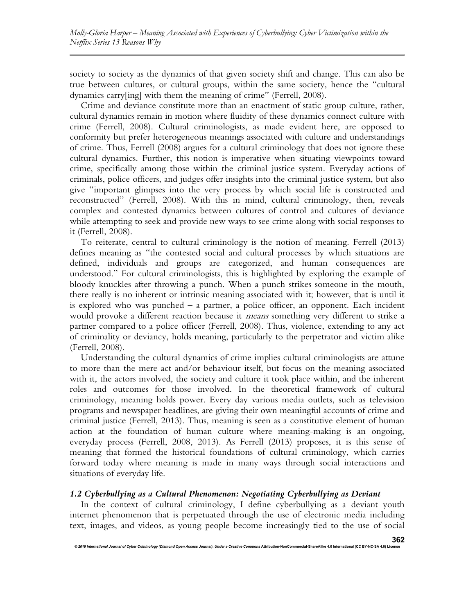society to society as the dynamics of that given society shift and change. This can also be true between cultures, or cultural groups, within the same society, hence the "cultural dynamics carry[ing] with them the meaning of crime" (Ferrell, 2008).

Crime and deviance constitute more than an enactment of static group culture, rather, cultural dynamics remain in motion where fluidity of these dynamics connect culture with crime (Ferrell, 2008). Cultural criminologists, as made evident here, are opposed to conformity but prefer heterogeneous meanings associated with culture and understandings of crime. Thus, Ferrell (2008) argues for a cultural criminology that does not ignore these cultural dynamics. Further, this notion is imperative when situating viewpoints toward crime, specifically among those within the criminal justice system. Everyday actions of criminals, police officers, and judges offer insights into the criminal justice system, but also give "important glimpses into the very process by which social life is constructed and reconstructed" (Ferrell, 2008). With this in mind, cultural criminology, then, reveals complex and contested dynamics between cultures of control and cultures of deviance while attempting to seek and provide new ways to see crime along with social responses to it (Ferrell, 2008).

To reiterate, central to cultural criminology is the notion of meaning. Ferrell (2013) defines meaning as "the contested social and cultural processes by which situations are defined, individuals and groups are categorized, and human consequences are understood." For cultural criminologists, this is highlighted by exploring the example of bloody knuckles after throwing a punch. When a punch strikes someone in the mouth, there really is no inherent or intrinsic meaning associated with it; however, that is until it is explored who was punched – a partner, a police officer, an opponent. Each incident would provoke a different reaction because it *means* something very different to strike a partner compared to a police officer (Ferrell, 2008). Thus, violence, extending to any act of criminality or deviancy, holds meaning, particularly to the perpetrator and victim alike (Ferrell, 2008).

Understanding the cultural dynamics of crime implies cultural criminologists are attune to more than the mere act and/or behaviour itself, but focus on the meaning associated with it, the actors involved, the society and culture it took place within, and the inherent roles and outcomes for those involved. In the theoretical framework of cultural criminology, meaning holds power. Every day various media outlets, such as television programs and newspaper headlines, are giving their own meaningful accounts of crime and criminal justice (Ferrell, 2013). Thus, meaning is seen as a constitutive element of human action at the foundation of human culture where meaning-making is an ongoing, everyday process (Ferrell, 2008, 2013). As Ferrell (2013) proposes, it is this sense of meaning that formed the historical foundations of cultural criminology, which carries forward today where meaning is made in many ways through social interactions and situations of everyday life.

#### 1.2 Cyberbullying as a Cultural Phenomenon: Negotiating Cyberbullying as Deviant

In the context of cultural criminology, I define cyberbullying as a deviant youth internet phenomenon that is perpetuated through the use of electronic media including text, images, and videos, as young people become increasingly tied to the use of social

© 2019 International Journal of Cyber Criminology (Diamond Open Access Journal). Under a Creative Commons Attribution-NonCommercial-ShareAlike 4.0 International (CC BY-NC-SA 4.0)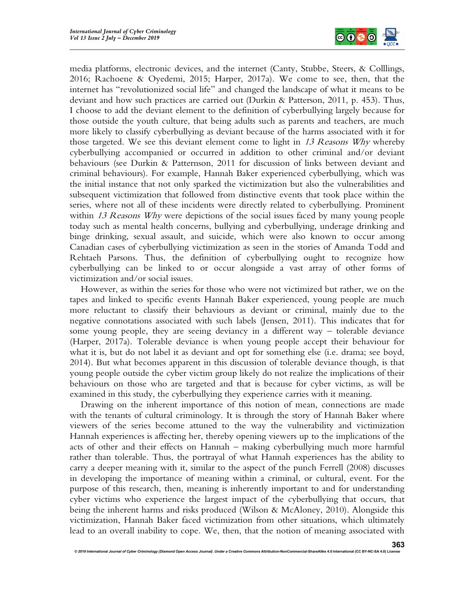

media platforms, electronic devices, and the internet (Canty, Stubbe, Steers, & Colllings, 2016; Rachoene & Oyedemi, 2015; Harper, 2017a). We come to see, then, that the internet has "revolutionized social life" and changed the landscape of what it means to be deviant and how such practices are carried out (Durkin & Patterson, 2011, p. 453). Thus, I choose to add the deviant element to the definition of cyberbullying largely because for those outside the youth culture, that being adults such as parents and teachers, are much more likely to classify cyberbullying as deviant because of the harms associated with it for those targeted. We see this deviant element come to light in  $13$  Reasons Why whereby cyberbullying accompanied or occurred in addition to other criminal and/or deviant behaviours (see Durkin & Patternson, 2011 for discussion of links between deviant and criminal behaviours). For example, Hannah Baker experienced cyberbullying, which was the initial instance that not only sparked the victimization but also the vulnerabilities and subsequent victimization that followed from distinctive events that took place within the series, where not all of these incidents were directly related to cyberbullying. Prominent within 13 Reasons Why were depictions of the social issues faced by many young people today such as mental health concerns, bullying and cyberbullying, underage drinking and binge drinking, sexual assault, and suicide, which were also known to occur among Canadian cases of cyberbullying victimization as seen in the stories of Amanda Todd and Rehtaeh Parsons. Thus, the definition of cyberbullying ought to recognize how cyberbullying can be linked to or occur alongside a vast array of other forms of victimization and/or social issues.

However, as within the series for those who were not victimized but rather, we on the tapes and linked to specific events Hannah Baker experienced, young people are much more reluctant to classify their behaviours as deviant or criminal, mainly due to the negative connotations associated with such labels (Jensen, 2011). This indicates that for some young people, they are seeing deviancy in a different way – tolerable deviance (Harper, 2017a). Tolerable deviance is when young people accept their behaviour for what it is, but do not label it as deviant and opt for something else (i.e. drama; see boyd, 2014). But what becomes apparent in this discussion of tolerable deviance though, is that young people outside the cyber victim group likely do not realize the implications of their behaviours on those who are targeted and that is because for cyber victims, as will be examined in this study, the cyberbullying they experience carries with it meaning.

Drawing on the inherent importance of this notion of mean, connections are made with the tenants of cultural criminology. It is through the story of Hannah Baker where viewers of the series become attuned to the way the vulnerability and victimization Hannah experiences is affecting her, thereby opening viewers up to the implications of the acts of other and their effects on Hannah – making cyberbullying much more harmful rather than tolerable. Thus, the portrayal of what Hannah experiences has the ability to carry a deeper meaning with it, similar to the aspect of the punch Ferrell (2008) discusses in developing the importance of meaning within a criminal, or cultural, event. For the purpose of this research, then, meaning is inherently important to and for understanding cyber victims who experience the largest impact of the cyberbullying that occurs, that being the inherent harms and risks produced (Wilson & McAloney, 2010). Alongside this victimization, Hannah Baker faced victimization from other situations, which ultimately lead to an overall inability to cope. We, then, that the notion of meaning associated with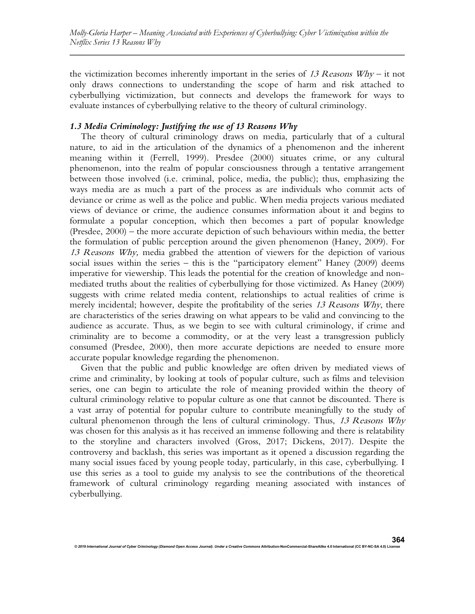the victimization becomes inherently important in the series of 13 Reasons  $Why -$  it not only draws connections to understanding the scope of harm and risk attached to cyberbullying victimization, but connects and develops the framework for ways to evaluate instances of cyberbullying relative to the theory of cultural criminology.

## 1.3 Media Criminology: Justifying the use of 13 Reasons Why

The theory of cultural criminology draws on media, particularly that of a cultural nature, to aid in the articulation of the dynamics of a phenomenon and the inherent meaning within it (Ferrell, 1999). Presdee (2000) situates crime, or any cultural phenomenon, into the realm of popular consciousness through a tentative arrangement between those involved (i.e. criminal, police, media, the public); thus, emphasizing the ways media are as much a part of the process as are individuals who commit acts of deviance or crime as well as the police and public. When media projects various mediated views of deviance or crime, the audience consumes information about it and begins to formulate a popular conception, which then becomes a part of popular knowledge (Presdee, 2000) – the more accurate depiction of such behaviours within media, the better the formulation of public perception around the given phenomenon (Haney, 2009). For 13 Reasons Why, media grabbed the attention of viewers for the depiction of various social issues within the series – this is the "participatory element" Haney (2009) deems imperative for viewership. This leads the potential for the creation of knowledge and nonmediated truths about the realities of cyberbullying for those victimized. As Haney (2009) suggests with crime related media content, relationships to actual realities of crime is merely incidental; however, despite the profitability of the series 13 Reasons Why, there are characteristics of the series drawing on what appears to be valid and convincing to the audience as accurate. Thus, as we begin to see with cultural criminology, if crime and criminality are to become a commodity, or at the very least a transgression publicly consumed (Presdee, 2000), then more accurate depictions are needed to ensure more accurate popular knowledge regarding the phenomenon.

Given that the public and public knowledge are often driven by mediated views of crime and criminality, by looking at tools of popular culture, such as films and television series, one can begin to articulate the role of meaning provided within the theory of cultural criminology relative to popular culture as one that cannot be discounted. There is a vast array of potential for popular culture to contribute meaningfully to the study of cultural phenomenon through the lens of cultural criminology. Thus,  $13$  Reasons Why was chosen for this analysis as it has received an immense following and there is relatability to the storyline and characters involved (Gross, 2017; Dickens, 2017). Despite the controversy and backlash, this series was important as it opened a discussion regarding the many social issues faced by young people today, particularly, in this case, cyberbullying. I use this series as a tool to guide my analysis to see the contributions of the theoretical framework of cultural criminology regarding meaning associated with instances of cyberbullying.

364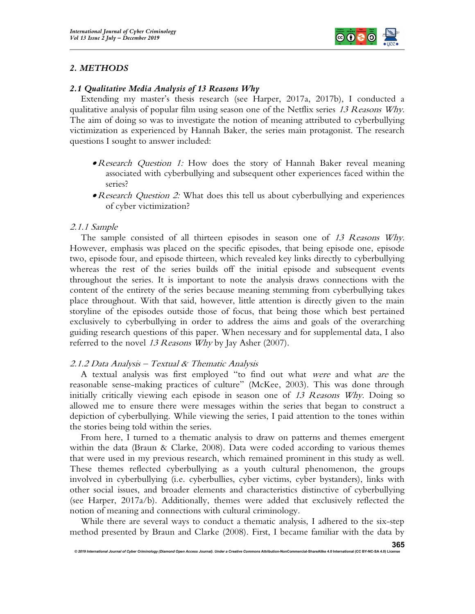

## 2. METHODS

#### 2.1 Qualitative Media Analysis of 13 Reasons Why

Extending my master's thesis research (see Harper, 2017a, 2017b), I conducted a qualitative analysis of popular film using season one of the Netflix series 13 Reasons Why. The aim of doing so was to investigate the notion of meaning attributed to cyberbullying victimization as experienced by Hannah Baker, the series main protagonist. The research questions I sought to answer included:

- Research Question 1: How does the story of Hannah Baker reveal meaning associated with cyberbullying and subsequent other experiences faced within the series?
- Research Question 2: What does this tell us about cyberbullying and experiences of cyber victimization?

#### 2.1.1 Sample

The sample consisted of all thirteen episodes in season one of 13 Reasons Why. However, emphasis was placed on the specific episodes, that being episode one, episode two, episode four, and episode thirteen, which revealed key links directly to cyberbullying whereas the rest of the series builds off the initial episode and subsequent events throughout the series. It is important to note the analysis draws connections with the content of the entirety of the series because meaning stemming from cyberbullying takes place throughout. With that said, however, little attention is directly given to the main storyline of the episodes outside those of focus, that being those which best pertained exclusively to cyberbullying in order to address the aims and goals of the overarching guiding research questions of this paper. When necessary and for supplemental data, I also referred to the novel 13 Reasons Why by Jay Asher (2007).

#### 2.1.2 Data Analysis – Textual & Thematic Analysis

A textual analysis was first employed "to find out what were and what are the reasonable sense-making practices of culture" (McKee, 2003). This was done through initially critically viewing each episode in season one of 13 Reasons Why. Doing so allowed me to ensure there were messages within the series that began to construct a depiction of cyberbullying. While viewing the series, I paid attention to the tones within the stories being told within the series.

From here, I turned to a thematic analysis to draw on patterns and themes emergent within the data (Braun & Clarke, 2008). Data were coded according to various themes that were used in my previous research, which remained prominent in this study as well. These themes reflected cyberbullying as a youth cultural phenomenon, the groups involved in cyberbullying (i.e. cyberbullies, cyber victims, cyber bystanders), links with other social issues, and broader elements and characteristics distinctive of cyberbullying (see Harper, 2017a/b). Additionally, themes were added that exclusively reflected the notion of meaning and connections with cultural criminology.

While there are several ways to conduct a thematic analysis, I adhered to the six-step method presented by Braun and Clarke (2008). First, I became familiar with the data by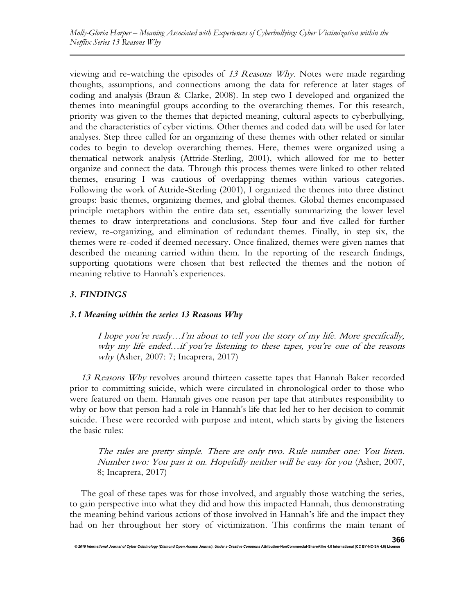viewing and re-watching the episodes of 13 Reasons Why. Notes were made regarding thoughts, assumptions, and connections among the data for reference at later stages of coding and analysis (Braun & Clarke, 2008). In step two I developed and organized the themes into meaningful groups according to the overarching themes. For this research, priority was given to the themes that depicted meaning, cultural aspects to cyberbullying, and the characteristics of cyber victims. Other themes and coded data will be used for later analyses. Step three called for an organizing of these themes with other related or similar codes to begin to develop overarching themes. Here, themes were organized using a thematical network analysis (Attride-Sterling, 2001), which allowed for me to better organize and connect the data. Through this process themes were linked to other related themes, ensuring I was cautious of overlapping themes within various categories. Following the work of Attride-Sterling (2001), I organized the themes into three distinct groups: basic themes, organizing themes, and global themes. Global themes encompassed principle metaphors within the entire data set, essentially summarizing the lower level themes to draw interpretations and conclusions. Step four and five called for further review, re-organizing, and elimination of redundant themes. Finally, in step six, the themes were re-coded if deemed necessary. Once finalized, themes were given names that described the meaning carried within them. In the reporting of the research findings, supporting quotations were chosen that best reflected the themes and the notion of meaning relative to Hannah's experiences.

# 3. FINDINGS

# 3.1 Meaning within the series 13 Reasons Why

I hope you're ready…I'm about to tell you the story of my life. More specifically, why my life ended…if you're listening to these tapes, you're one of the reasons why (Asher, 2007: 7; Incaprera, 2017)

13 Reasons Why revolves around thirteen cassette tapes that Hannah Baker recorded prior to committing suicide, which were circulated in chronological order to those who were featured on them. Hannah gives one reason per tape that attributes responsibility to why or how that person had a role in Hannah's life that led her to her decision to commit suicide. These were recorded with purpose and intent, which starts by giving the listeners the basic rules:

The rules are pretty simple. There are only two. Rule number one: You listen. Number two: You pass it on. Hopefully neither will be easy for you (Asher, 2007, 8; Incaprera, 2017)

The goal of these tapes was for those involved, and arguably those watching the series, to gain perspective into what they did and how this impacted Hannah, thus demonstrating the meaning behind various actions of those involved in Hannah's life and the impact they had on her throughout her story of victimization. This confirms the main tenant of

© 2019 International Journal of Cyber Criminology (Diamond Open Access Journal). Under a Creative Commons Attribution-NonCommercial-ShareAlike 4.0 International (CC BY-NC-SA 4.0) L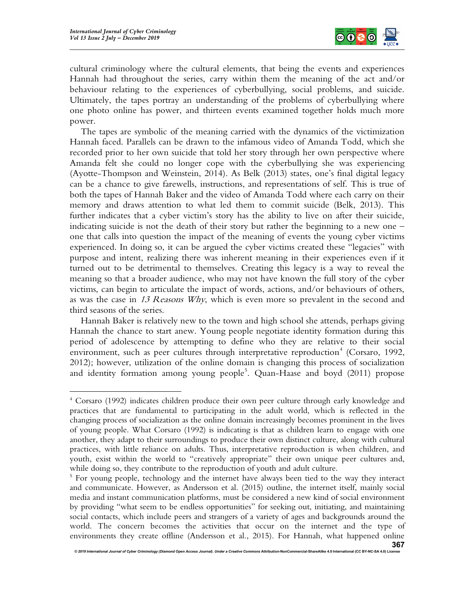

cultural criminology where the cultural elements, that being the events and experiences Hannah had throughout the series, carry within them the meaning of the act and/or behaviour relating to the experiences of cyberbullying, social problems, and suicide. Ultimately, the tapes portray an understanding of the problems of cyberbullying where one photo online has power, and thirteen events examined together holds much more power.

The tapes are symbolic of the meaning carried with the dynamics of the victimization Hannah faced. Parallels can be drawn to the infamous video of Amanda Todd, which she recorded prior to her own suicide that told her story through her own perspective where Amanda felt she could no longer cope with the cyberbullying she was experiencing (Ayotte-Thompson and Weinstein, 2014). As Belk (2013) states, one's final digital legacy can be a chance to give farewells, instructions, and representations of self. This is true of both the tapes of Hannah Baker and the video of Amanda Todd where each carry on their memory and draws attention to what led them to commit suicide (Belk, 2013). This further indicates that a cyber victim's story has the ability to live on after their suicide, indicating suicide is not the death of their story but rather the beginning to a new one – one that calls into question the impact of the meaning of events the young cyber victims experienced. In doing so, it can be argued the cyber victims created these "legacies" with purpose and intent, realizing there was inherent meaning in their experiences even if it turned out to be detrimental to themselves. Creating this legacy is a way to reveal the meaning so that a broader audience, who may not have known the full story of the cyber victims, can begin to articulate the impact of words, actions, and/or behaviours of others, as was the case in 13 Reasons Why, which is even more so prevalent in the second and third seasons of the series.

Hannah Baker is relatively new to the town and high school she attends, perhaps giving Hannah the chance to start anew. Young people negotiate identity formation during this period of adolescence by attempting to define who they are relative to their social environment, such as peer cultures through interpretative reproduction<sup>4</sup> (Corsaro, 1992, 2012); however, utilization of the online domain is changing this process of socialization and identity formation among young people<sup>5</sup>. Quan-Haase and boyd (2011) propose

<sup>4</sup> Corsaro (1992) indicates children produce their own peer culture through early knowledge and practices that are fundamental to participating in the adult world, which is reflected in the changing process of socialization as the online domain increasingly becomes prominent in the lives of young people. What Corsaro (1992) is indicating is that as children learn to engage with one another, they adapt to their surroundings to produce their own distinct culture, along with cultural practices, with little reliance on adults. Thus, interpretative reproduction is when children, and youth, exist within the world to "creatively appropriate" their own unique peer cultures and, while doing so, they contribute to the reproduction of youth and adult culture.

<sup>&</sup>lt;sup>5</sup> For young people, technology and the internet have always been tied to the way they interact and communicate. However, as Andersson et al. (2015) outline, the internet itself, mainly social media and instant communication platforms, must be considered a new kind of social environment by providing "what seem to be endless opportunities" for seeking out, initiating, and maintaining social contacts, which include peers and strangers of a variety of ages and backgrounds around the world. The concern becomes the activities that occur on the internet and the type of environments they create offline (Andersson et al., 2015). For Hannah, what happened online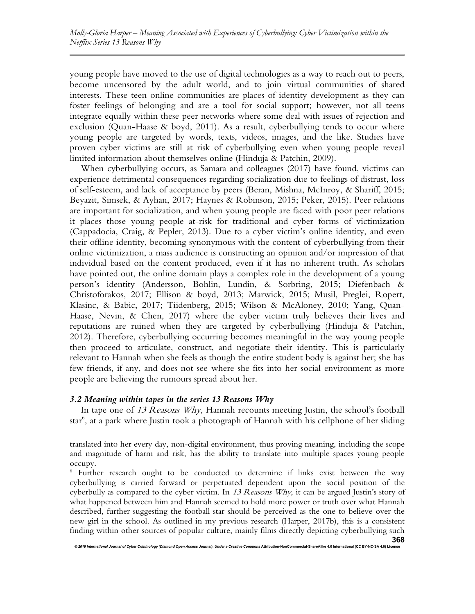young people have moved to the use of digital technologies as a way to reach out to peers, become uncensored by the adult world, and to join virtual communities of shared interests. These teen online communities are places of identity development as they can foster feelings of belonging and are a tool for social support; however, not all teens integrate equally within these peer networks where some deal with issues of rejection and exclusion (Quan-Haase & boyd, 2011). As a result, cyberbullying tends to occur where young people are targeted by words, texts, videos, images, and the like. Studies have proven cyber victims are still at risk of cyberbullying even when young people reveal limited information about themselves online (Hinduja & Patchin, 2009).

When cyberbullying occurs, as Samara and colleagues (2017) have found, victims can experience detrimental consequences regarding socialization due to feelings of distrust, loss of self-esteem, and lack of acceptance by peers (Beran, Mishna, McInroy, & Shariff, 2015; Beyazit, Simsek, & Ayhan, 2017; Haynes & Robinson, 2015; Peker, 2015). Peer relations are important for socialization, and when young people are faced with poor peer relations it places those young people at-risk for traditional and cyber forms of victimization (Cappadocia, Craig, & Pepler, 2013). Due to a cyber victim's online identity, and even their offline identity, becoming synonymous with the content of cyberbullying from their online victimization, a mass audience is constructing an opinion and/or impression of that individual based on the content produced, even if it has no inherent truth. As scholars have pointed out, the online domain plays a complex role in the development of a young person's identity (Andersson, Bohlin, Lundin, & Sorbring, 2015; Diefenbach & Christoforakos, 2017; Ellison & boyd, 2013; Marwick, 2015; Musil, Preglei, Ropert, Klasinc, & Babic, 2017; Tiidenberg, 2015; Wilson & McAloney, 2010; Yang, Quan-Haase, Nevin, & Chen, 2017) where the cyber victim truly believes their lives and reputations are ruined when they are targeted by cyberbullying (Hinduja & Patchin, 2012). Therefore, cyberbullying occurring becomes meaningful in the way young people then proceed to articulate, construct, and negotiate their identity. This is particularly relevant to Hannah when she feels as though the entire student body is against her; she has few friends, if any, and does not see where she fits into her social environment as more people are believing the rumours spread about her.

## 3.2 Meaning within tapes in the series 13 Reasons Why

In tape one of 13 Reasons Why, Hannah recounts meeting Justin, the school's football star<sup>6</sup>, at a park where Justin took a photograph of Hannah with his cellphone of her sliding

© 2019 International Journal of Cyber Criminology (Diamond Open Access Journal). Under a Creative Commons Attribution-NonCommercial-ShareAlike 4.0 International (CC BY-NC-SA

translated into her every day, non-digital environment, thus proving meaning, including the scope and magnitude of harm and risk, has the ability to translate into multiple spaces young people occupy.

<sup>&</sup>lt;sup>6</sup> Further research ought to be conducted to determine if links exist between the way cyberbullying is carried forward or perpetuated dependent upon the social position of the cyberbully as compared to the cyber victim. In 13 Reasons Why, it can be argued Justin's story of what happened between him and Hannah seemed to hold more power or truth over what Hannah described, further suggesting the football star should be perceived as the one to believe over the new girl in the school. As outlined in my previous research (Harper, 2017b), this is a consistent finding within other sources of popular culture, mainly films directly depicting cyberbullying such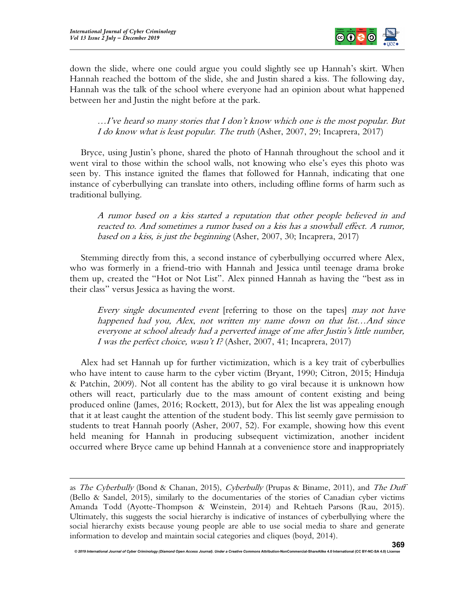

down the slide, where one could argue you could slightly see up Hannah's skirt. When Hannah reached the bottom of the slide, she and Justin shared a kiss. The following day, Hannah was the talk of the school where everyone had an opinion about what happened between her and Justin the night before at the park.

…I've heard so many stories that I don't know which one is the most popular. But I do know what is least popular. The truth (Asher, 2007, 29; Incaprera, 2017)

Bryce, using Justin's phone, shared the photo of Hannah throughout the school and it went viral to those within the school walls, not knowing who else's eyes this photo was seen by. This instance ignited the flames that followed for Hannah, indicating that one instance of cyberbullying can translate into others, including offline forms of harm such as traditional bullying.

A rumor based on a kiss started a reputation that other people believed in and reacted to. And sometimes a rumor based on a kiss has a snowball effect. A rumor, based on a kiss, is just the beginning (Asher, 2007, 30; Incaprera, 2017)

Stemming directly from this, a second instance of cyberbullying occurred where Alex, who was formerly in a friend-trio with Hannah and Jessica until teenage drama broke them up, created the "Hot or Not List". Alex pinned Hannah as having the "best ass in their class" versus Jessica as having the worst.

Every single documented event [referring to those on the tapes] may not have happened had you, Alex, not written my name down on that list…And since everyone at school already had a perverted image of me after Justin's little number, I was the perfect choice, wasn't I? (Asher, 2007, 41; Incaprera, 2017)

Alex had set Hannah up for further victimization, which is a key trait of cyberbullies who have intent to cause harm to the cyber victim (Bryant, 1990; Citron, 2015; Hinduja & Patchin, 2009). Not all content has the ability to go viral because it is unknown how others will react, particularly due to the mass amount of content existing and being produced online (James, 2016; Rockett, 2013), but for Alex the list was appealing enough that it at least caught the attention of the student body. This list seemly gave permission to students to treat Hannah poorly (Asher, 2007, 52). For example, showing how this event held meaning for Hannah in producing subsequent victimization, another incident occurred where Bryce came up behind Hannah at a convenience store and inappropriately

as The Cyberbully (Bond & Chanan, 2015), Cyberbully (Prupas & Biname, 2011), and The Duff (Bello & Sandel, 2015), similarly to the documentaries of the stories of Canadian cyber victims Amanda Todd (Ayotte-Thompson & Weinstein, 2014) and Rehtaeh Parsons (Rau, 2015). Ultimately, this suggests the social hierarchy is indicative of instances of cyberbullying where the social hierarchy exists because young people are able to use social media to share and generate information to develop and maintain social categories and cliques (boyd, 2014).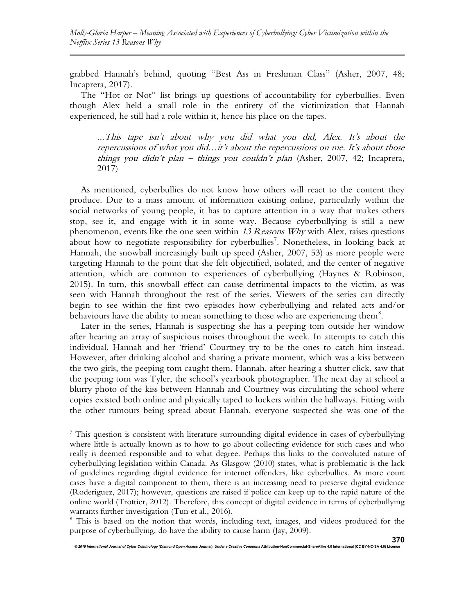grabbed Hannah's behind, quoting "Best Ass in Freshman Class" (Asher, 2007, 48; Incaprera, 2017).

The "Hot or Not" list brings up questions of accountability for cyberbullies. Even though Alex held a small role in the entirety of the victimization that Hannah experienced, he still had a role within it, hence his place on the tapes.

...This tape isn't about why you did what you did, Alex. It's about the repercussions of what you did…it's about the repercussions on me. It's about those things you didn't plan – things you couldn't plan (Asher, 2007, 42; Incaprera, 2017)

As mentioned, cyberbullies do not know how others will react to the content they produce. Due to a mass amount of information existing online, particularly within the social networks of young people, it has to capture attention in a way that makes others stop, see it, and engage with it in some way. Because cyberbullying is still a new phenomenon, events like the one seen within 13 Reasons Why with Alex, raises questions about how to negotiate responsibility for cyberbullies<sup>7</sup>. Nonetheless, in looking back at Hannah, the snowball increasingly built up speed (Asher, 2007, 53) as more people were targeting Hannah to the point that she felt objectified, isolated, and the center of negative attention, which are common to experiences of cyberbullying (Haynes & Robinson, 2015). In turn, this snowball effect can cause detrimental impacts to the victim, as was seen with Hannah throughout the rest of the series. Viewers of the series can directly begin to see within the first two episodes how cyberbullying and related acts and/or behaviours have the ability to mean something to those who are experiencing them<sup>8</sup>.

Later in the series, Hannah is suspecting she has a peeping tom outside her window after hearing an array of suspicious noises throughout the week. In attempts to catch this individual, Hannah and her 'friend' Courtney try to be the ones to catch him instead. However, after drinking alcohol and sharing a private moment, which was a kiss between the two girls, the peeping tom caught them. Hannah, after hearing a shutter click, saw that the peeping tom was Tyler, the school's yearbook photographer. The next day at school a blurry photo of the kiss between Hannah and Courtney was circulating the school where copies existed both online and physically taped to lockers within the hallways. Fitting with the other rumours being spread about Hannah, everyone suspected she was one of the

<sup>&</sup>lt;sup>7</sup> This question is consistent with literature surrounding digital evidence in cases of cyberbullying where little is actually known as to how to go about collecting evidence for such cases and who really is deemed responsible and to what degree. Perhaps this links to the convoluted nature of cyberbullying legislation within Canada. As Glasgow (2010) states, what is problematic is the lack of guidelines regarding digital evidence for internet offenders, like cyberbullies. As more court cases have a digital component to them, there is an increasing need to preserve digital evidence (Roderiguez, 2017); however, questions are raised if police can keep up to the rapid nature of the online world (Trottier, 2012). Therefore, this concept of digital evidence in terms of cyberbullying warrants further investigation (Tun et al., 2016).

<sup>&</sup>lt;sup>8</sup> This is based on the notion that words, including text, images, and videos produced for the purpose of cyberbullying, do have the ability to cause harm (Jay, 2009).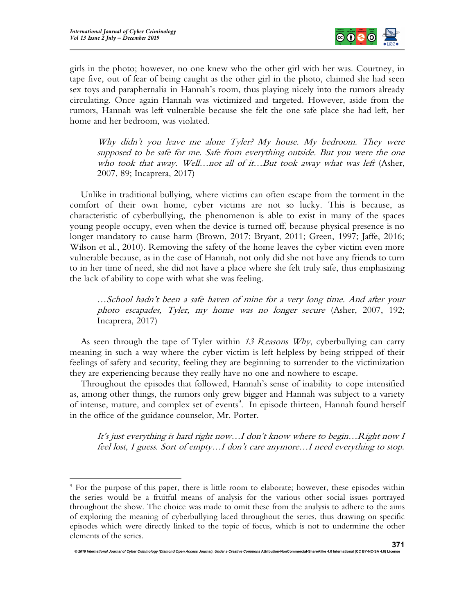

girls in the photo; however, no one knew who the other girl with her was. Courtney, in tape five, out of fear of being caught as the other girl in the photo, claimed she had seen sex toys and paraphernalia in Hannah's room, thus playing nicely into the rumors already circulating. Once again Hannah was victimized and targeted. However, aside from the rumors, Hannah was left vulnerable because she felt the one safe place she had left, her home and her bedroom, was violated.

Why didn't you leave me alone Tyler? My house. My bedroom. They were supposed to be safe for me. Safe from everything outside. But you were the one who took that away. Well...not all of it...But took away what was left (Asher, 2007, 89; Incaprera, 2017)

Unlike in traditional bullying, where victims can often escape from the torment in the comfort of their own home, cyber victims are not so lucky. This is because, as characteristic of cyberbullying, the phenomenon is able to exist in many of the spaces young people occupy, even when the device is turned off, because physical presence is no longer mandatory to cause harm (Brown, 2017; Bryant, 2011; Green, 1997; Jaffe, 2016; Wilson et al., 2010). Removing the safety of the home leaves the cyber victim even more vulnerable because, as in the case of Hannah, not only did she not have any friends to turn to in her time of need, she did not have a place where she felt truly safe, thus emphasizing the lack of ability to cope with what she was feeling.

…School hadn't been a safe haven of mine for a very long time. And after your photo escapades, Tyler, my home was no longer secure (Asher, 2007, 192; Incaprera, 2017)

As seen through the tape of Tyler within 13 Reasons Why, cyberbullying can carry meaning in such a way where the cyber victim is left helpless by being stripped of their feelings of safety and security, feeling they are beginning to surrender to the victimization they are experiencing because they really have no one and nowhere to escape.

Throughout the episodes that followed, Hannah's sense of inability to cope intensified as, among other things, the rumors only grew bigger and Hannah was subject to a variety of intense, mature, and complex set of events<sup>9</sup>. In episode thirteen, Hannah found herself in the office of the guidance counselor, Mr. Porter.

It's just everything is hard right now…I don't know where to begin…Right now I feel lost, I guess. Sort of empty…I don't care anymore…I need everything to stop.

<sup>9</sup> For the purpose of this paper, there is little room to elaborate; however, these episodes within the series would be a fruitful means of analysis for the various other social issues portrayed throughout the show. The choice was made to omit these from the analysis to adhere to the aims of exploring the meaning of cyberbullying laced throughout the series, thus drawing on specific episodes which were directly linked to the topic of focus, which is not to undermine the other elements of the series.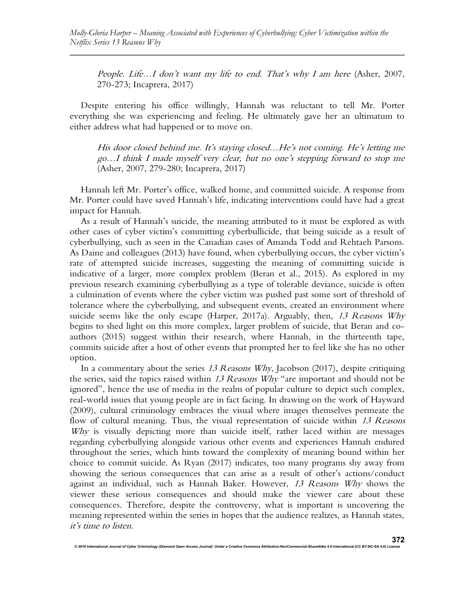People. Life...I don't want my life to end. That's why I am here (Asher, 2007, 270-273; Incaprera, 2017)

Despite entering his office willingly, Hannah was reluctant to tell Mr. Porter everything she was experiencing and feeling. He ultimately gave her an ultimatum to either address what had happened or to move on.

His door closed behind me. It's staying closed…He's not coming. He's letting me go…I think I made myself very clear, but no one's stepping forward to stop me (Asher, 2007, 279-280; Incaprera, 2017)

Hannah left Mr. Porter's office, walked home, and committed suicide. A response from Mr. Porter could have saved Hannah's life, indicating interventions could have had a great impact for Hannah.

As a result of Hannah's suicide, the meaning attributed to it must be explored as with other cases of cyber victim's committing cyberbullicide, that being suicide as a result of cyberbullying, such as seen in the Canadian cases of Amanda Todd and Rehtaeh Parsons. As Daine and colleagues (2013) have found, when cyberbullying occurs, the cyber victim's rate of attempted suicide increases, suggesting the meaning of committing suicide is indicative of a larger, more complex problem (Beran et al., 2015). As explored in my previous research examining cyberbullying as a type of tolerable deviance, suicide is often a culmination of events where the cyber victim was pushed past some sort of threshold of tolerance where the cyberbullying, and subsequent events, created an environment where suicide seems like the only escape (Harper, 2017a). Arguably, then,  $13$  Reasons Why begins to shed light on this more complex, larger problem of suicide, that Beran and coauthors (2015) suggest within their research, where Hannah, in the thirteenth tape, commits suicide after a host of other events that prompted her to feel like she has no other option.

In a commentary about the series 13 Reasons Why, Jacobson (2017), despite critiquing the series, said the topics raised within  $13$  Reasons Why "are important and should not be ignored", hence the use of media in the realm of popular culture to depict such complex, real-world issues that young people are in fact facing. In drawing on the work of Hayward (2009), cultural criminology embraces the visual where images themselves permeate the flow of cultural meaning. Thus, the visual representation of suicide within 13 Reasons Why is visually depicting more than suicide itself, rather laced within are messages regarding cyberbullying alongside various other events and experiences Hannah endured throughout the series, which hints toward the complexity of meaning bound within her choice to commit suicide. As Ryan (2017) indicates, too many programs shy away from showing the serious consequences that can arise as a result of other's actions/conduct against an individual, such as Hannah Baker. However, 13 Reasons Why shows the viewer these serious consequences and should make the viewer care about these consequences. Therefore, despite the controversy, what is important is uncovering the meaning represented within the series in hopes that the audience realizes, as Hannah states, it's time to listen.

© 2019 International Journal of Cyber Criminology (Diamond Open Access Journal). Under a Creative Com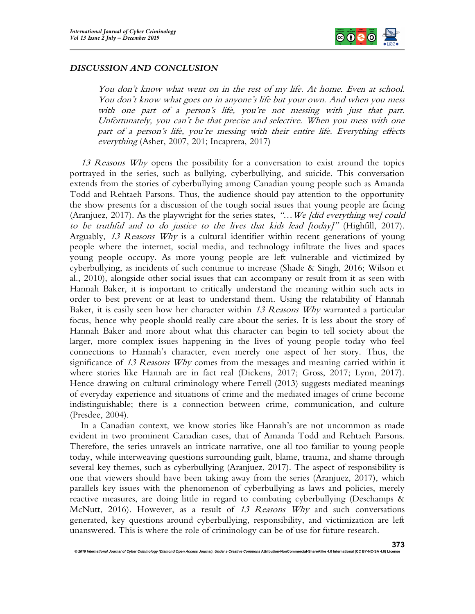

### DISCUSSION AND CONCLUSION

You don't know what went on in the rest of my life. At home. Even at school. You don't know what goes on in anyone's life but your own. And when you mess with one part of a person's life, you're not messing with just that part. Unfortunately, you can't be that precise and selective. When you mess with one part of a person's life, you're messing with their entire life. Everything effects everything (Asher, 2007, 201; Incaprera, 2017)

13 Reasons Why opens the possibility for a conversation to exist around the topics portrayed in the series, such as bullying, cyberbullying, and suicide. This conversation extends from the stories of cyberbullying among Canadian young people such as Amanda Todd and Rehtaeh Parsons. Thus, the audience should pay attention to the opportunity the show presents for a discussion of the tough social issues that young people are facing (Aranjuez, 2017). As the playwright for the series states, "... We [did everything we] could to be truthful and to do justice to the lives that kids lead [today]" (Highfill, 2017). Arguably, 13 Reasons Why is a cultural identifier within recent generations of young people where the internet, social media, and technology infiltrate the lives and spaces young people occupy. As more young people are left vulnerable and victimized by cyberbullying, as incidents of such continue to increase (Shade & Singh, 2016; Wilson et al., 2010), alongside other social issues that can accompany or result from it as seen with Hannah Baker, it is important to critically understand the meaning within such acts in order to best prevent or at least to understand them. Using the relatability of Hannah Baker, it is easily seen how her character within 13 Reasons Why warranted a particular focus, hence why people should really care about the series. It is less about the story of Hannah Baker and more about what this character can begin to tell society about the larger, more complex issues happening in the lives of young people today who feel connections to Hannah's character, even merely one aspect of her story. Thus, the significance of 13 Reasons Why comes from the messages and meaning carried within it where stories like Hannah are in fact real (Dickens, 2017; Gross, 2017; Lynn, 2017). Hence drawing on cultural criminology where Ferrell (2013) suggests mediated meanings of everyday experience and situations of crime and the mediated images of crime become indistinguishable; there is a connection between crime, communication, and culture (Presdee, 2004).

In a Canadian context, we know stories like Hannah's are not uncommon as made evident in two prominent Canadian cases, that of Amanda Todd and Rehtaeh Parsons. Therefore, the series unravels an intricate narrative, one all too familiar to young people today, while interweaving questions surrounding guilt, blame, trauma, and shame through several key themes, such as cyberbullying (Aranjuez, 2017). The aspect of responsibility is one that viewers should have been taking away from the series (Aranjuez, 2017), which parallels key issues with the phenomenon of cyberbullying as laws and policies, merely reactive measures, are doing little in regard to combating cyberbullying (Deschamps & McNutt, 2016). However, as a result of 13 Reasons Why and such conversations generated, key questions around cyberbullying, responsibility, and victimization are left unanswered. This is where the role of criminology can be of use for future research.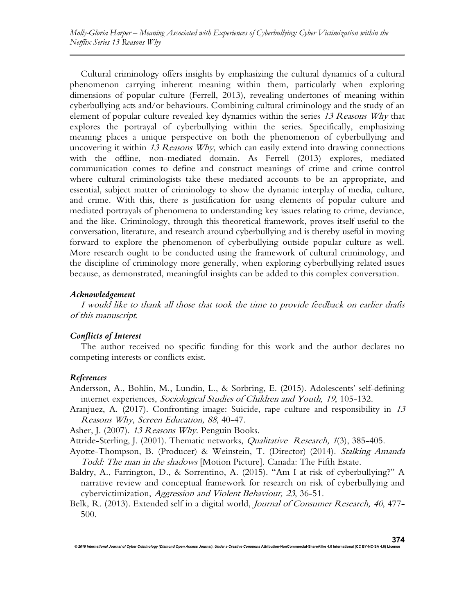Cultural criminology offers insights by emphasizing the cultural dynamics of a cultural phenomenon carrying inherent meaning within them, particularly when exploring dimensions of popular culture (Ferrell, 2013), revealing undertones of meaning within cyberbullying acts and/or behaviours. Combining cultural criminology and the study of an element of popular culture revealed key dynamics within the series 13 Reasons Why that explores the portrayal of cyberbullying within the series. Specifically, emphasizing meaning places a unique perspective on both the phenomenon of cyberbullying and uncovering it within  $13$  Reasons Why, which can easily extend into drawing connections with the offline, non-mediated domain. As Ferrell (2013) explores, mediated communication comes to define and construct meanings of crime and crime control where cultural criminologists take these mediated accounts to be an appropriate, and essential, subject matter of criminology to show the dynamic interplay of media, culture, and crime. With this, there is justification for using elements of popular culture and mediated portrayals of phenomena to understanding key issues relating to crime, deviance, and the like. Criminology, through this theoretical framework, proves itself useful to the conversation, literature, and research around cyberbullying and is thereby useful in moving forward to explore the phenomenon of cyberbullying outside popular culture as well. More research ought to be conducted using the framework of cultural criminology, and the discipline of criminology more generally, when exploring cyberbullying related issues because, as demonstrated, meaningful insights can be added to this complex conversation.

#### Acknowledgement

I would like to thank all those that took the time to provide feedback on earlier drafts of this manuscript.

## Conflicts of Interest

The author received no specific funding for this work and the author declares no competing interests or conflicts exist.

#### References

Andersson, A., Bohlin, M., Lundin, L., & Sorbring, E. (2015). Adolescents' self-defining internet experiences, Sociological Studies of Children and Youth, <sup>19</sup>, 105-132.

Aranjuez, A. (2017). Confronting image: Suicide, rape culture and responsibility in 13 Reasons Why, Screen Education, <sup>88</sup>, 40-47.

Asher, J. (2007). 13 Reasons Why. Penguin Books.

- Attride-Sterling, J. (2001). Thematic networks, *Qualitative Research*, 1(3), 385-405.
- Ayotte-Thompson, B. (Producer) & Weinstein, T. (Director) (2014). Stalking Amanda Todd: The man in the shadows [Motion Picture]. Canada: The Fifth Estate.
- Baldry, A., Farrington, D., & Sorrentino, A. (2015). "Am I at risk of cyberbullying?" A narrative review and conceptual framework for research on risk of cyberbullying and cybervictimization, Aggression and Violent Behaviour, <sup>23</sup>, 36-51.
- Belk, R. (2013). Extended self in a digital world, *Journal of Consumer Research*, 40, 477-500.

© 2019 International Journal of Cyber Criminology (Diamond Open Access Journal). Under a Creative Commons Attribution-NonCommercial-ShareAlike 4.0 International (CC BY-NC-SA 4.0) L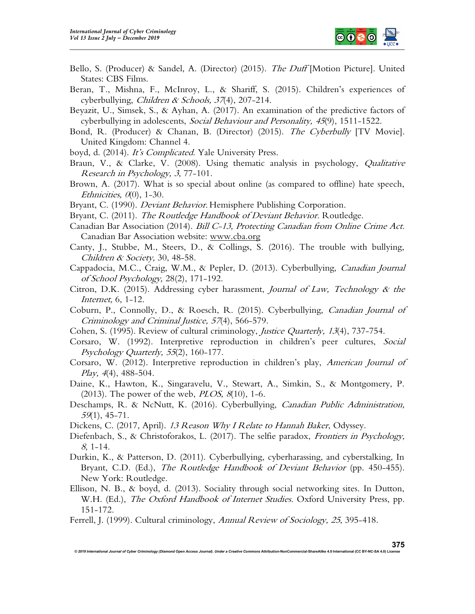

- Bello, S. (Producer) & Sandel, A. (Director) (2015). *The Duff* [Motion Picture]. United States: CBS Films.
- Beran, T., Mishna, F., McInroy, L., & Shariff, S. (2015). Children's experiences of cyberbullying, *Children & Schools*, 37(4), 207-214.
- Beyazit, U., Simsek, S., & Ayhan, A. (2017). An examination of the predictive factors of cyberbullying in adolescents, Social Behaviour and Personality, <sup>45</sup>(9), 1511-1522.
- Bond, R. (Producer) & Chanan, B. (Director) (2015). The Cyberbully [TV Movie]. United Kingdom: Channel 4.
- boyd, d. (2014). It's Complicated. Yale University Press.
- Braun, V., & Clarke, V. (2008). Using thematic analysis in psychology, *Qualitative* Research in Psychology, <sup>3</sup>, 77-101.
- Brown, A. (2017). What is so special about online (as compared to offline) hate speech, Ethnicities,  $\theta(0)$ , 1-30.
- Bryant, C. (1990). *Deviant Behavior*. Hemisphere Publishing Corporation.
- Bryant, C. (2011). The Routledge Handbook of Deviant Behavior. Routledge.
- Canadian Bar Association (2014). Bill C-13, Protecting Canadian from Online Crime Act. Canadian Bar Association website: www.cba.org
- Canty, J., Stubbe, M., Steers, D., & Collings, S. (2016). The trouble with bullying, Children & Society, 30, 48-58.
- Cappadocia, M.C., Craig, W.M., & Pepler, D. (2013). Cyberbullying, Canadian Journal of School Psychology, 28(2), 171-192.
- Citron, D.K. (2015). Addressing cyber harassment, *Journal of Law, Technology & the* Internet, 6, 1-12.
- Coburn, P., Connolly, D., & Roesch, R. (2015). Cyberbullying, Canadian Journal of Criminology and Criminal Justice, <sup>57</sup>(4), 566-579.
- Cohen, S. (1995). Review of cultural criminology, *Justice Quarterly, 13*(4), 737-754.
- Corsaro, W. (1992). Interpretive reproduction in children's peer cultures, Social Psychology Quarterly, <sup>55</sup>(2), 160-177.
- Corsaro, W. (2012). Interpretive reproduction in children's play, American Journal of Play,  $4(4)$ ,  $488-504$ .
- Daine, K., Hawton, K., Singaravelu, V., Stewart, A., Simkin, S., & Montgomery, P.  $(2013)$ . The power of the web, *PLOS*,  $8(10)$ , 1-6.
- Deschamps, R. & NcNutt, K. (2016). Cyberbullying, Canadian Public Administration, <sup>59</sup>(1), 45-71.
- Dickens, C. (2017, April). 13 Reason Why I Relate to Hannah Baker, Odyssey.
- Diefenbach, S., & Christoforakos, L. (2017). The selfie paradox, *Frontiers in Psychology*, <sup>8</sup>, 1-14.
- Durkin, K., & Patterson, D. (2011). Cyberbullying, cyberharassing, and cyberstalking, In Bryant, C.D. (Ed.), *The Routledge Handbook of Deviant Behavior* (pp. 450–455). New York: Routledge.
- Ellison, N. B., & boyd, d. (2013). Sociality through social networking sites. In Dutton, W.H. (Ed.), *The Oxford Handbook of Internet Studies*. Oxford University Press, pp. 151-172.
- Ferrell, J. (1999). Cultural criminology, Annual Review of Sociology, <sup>25</sup>, 395-418.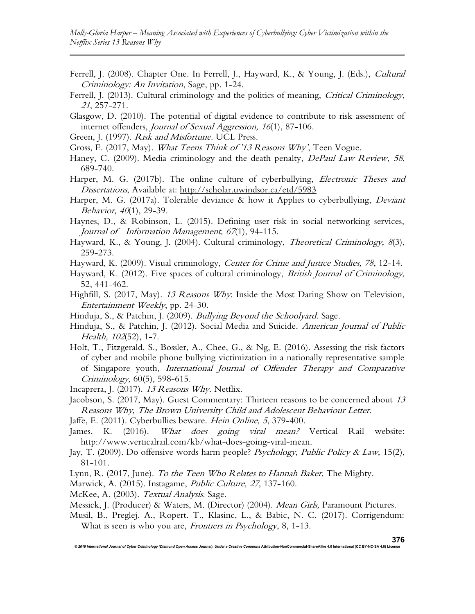- Ferrell, J. (2008). Chapter One. In Ferrell, J., Hayward, K., & Young, J. (Eds.), Cultural Criminology: An Invitation, Sage, pp. 1-24.
- Ferrell, J. (2013). Cultural criminology and the politics of meaning, *Critical Criminology*, <sup>21</sup>, 257-271.
- Glasgow, D. (2010). The potential of digital evidence to contribute to risk assessment of internet offenders, Journal of Sexual Aggression, 16(1), 87-106.
- Green, J. (1997). Risk and Misfortune. UCL Press.
- Gross, E. (2017, May). What Teens Think of '13 Reasons Why', Teen Vogue.
- Haney, C. (2009). Media criminology and the death penalty, DePaul Law Review, 58, 689-740.
- Harper, M. G. (2017b). The online culture of cyberbullying, *Electronic Theses and* Dissertations, Available at: http://scholar.uwindsor.ca/etd/5983
- Harper, M. G. (2017a). Tolerable deviance & how it Applies to cyberbullying, *Deviant* Behavior, 40(1), 29-39.
- Haynes, D., & Robinson, L. (2015). Defining user risk in social networking services, Journal of Information Management, <sup>67</sup>(1), 94-115.
- Hayward, K., & Young, J. (2004). Cultural criminology, Theoretical Criminology, 8(3), 259-273.
- Hayward, K. (2009). Visual criminology, Center for Crime and Justice Studies, 78, 12-14.
- Hayward, K. (2012). Five spaces of cultural criminology, *British Journal of Criminology*, 52, 441-462.
- Highfill, S. (2017, May). 13 Reasons Why: Inside the Most Daring Show on Television, Entertainment Weekly, pp. 24-30.
- Hinduja, S., & Patchin, J. (2009). *Bullying Beyond the Schoolyard.* Sage.
- Hinduja, S., & Patchin, J. (2012). Social Media and Suicide. American Journal of Public Health, <sup>102</sup>(52), 1-7.
- Holt, T., Fitzgerald, S., Bossler, A., Chee, G., & Ng, E. (2016). Assessing the risk factors of cyber and mobile phone bullying victimization in a nationally representative sample of Singapore youth, International Journal of Offender Therapy and Comparative Criminology, 60(5), 598-615.
- Incaprera, J. (2017). 13 Reasons Why. Netflix.
- Jacobson, S. (2017, May). Guest Commentary: Thirteen reasons to be concerned about <sup>13</sup> Reasons Why, The Brown University Child and Adolescent Behaviour Letter.
- Jaffe, E. (2011). Cyberbullies beware. Hein Online, <sup>5</sup>, 379-400.
- James, K. (2016). What does going viral mean? Vertical Rail website: http://www.verticalrail.com/kb/what-does-going-viral-mean.
- Jay, T. (2009). Do offensive words harm people? Psychology, Public Policy & Law, 15(2), 81-101.
- Lynn, R. (2017, June). To the Teen Who Relates to Hannah Baker, The Mighty.
- Marwick, A. (2015). Instagame, Public Culture, <sup>27</sup>, 137-160.
- McKee, A. (2003). Textual Analysis. Sage.
- Messick, J. (Producer) & Waters, M. (Director) (2004). *Mean Girls*, Paramount Pictures.

© 2019 International Journal of Cyber Criminology (Diamond Open Access Journal). Under a Creative Commons Attribution-NonCommercial-ShareAlike 4.0 International (CC BY-NC-SA 4.0) L

Musil, B., Preglej. A., Ropert. T., Klasinc, L., & Babic, N. C. (2017). Corrigendum: What is seen is who you are, *Frontiers in Psychology*, 8, 1-13.

376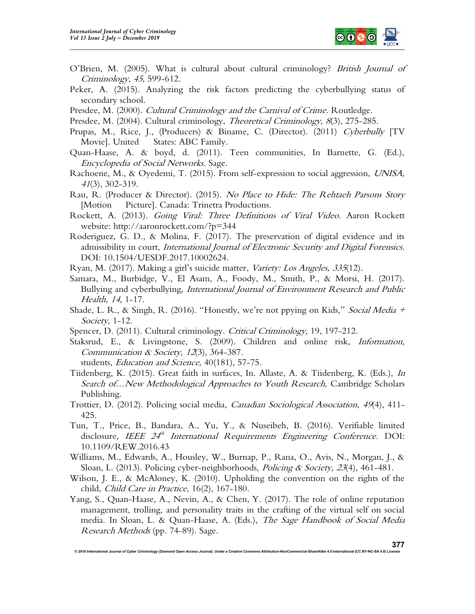

- O'Brien, M. (2005). What is cultural about cultural criminology? British Journal of Criminology, <sup>45</sup>, 599-612.
- Peker, A. (2015). Analyzing the risk factors predicting the cyberbullying status of secondary school.
- Presdee, M. (2000). Cultural Criminology and the Carnival of Crime. Routledge.
- Presdee, M. (2004). Cultural criminology, *Theoretical Criminology*, 8(3), 275-285.
- Prupas, M., Rice, J., (Producers) & Biname, C. (Director). (2011) Cyberbully [TV Movie]. United States: ABC Family.
- Quan-Haase, A. & boyd, d. (2011). Teen communities, In Barnette, G. (Ed.), Encyclopedia of Social Networks. Sage.
- Rachoene, M., & Oyedemi, T. (2015). From self-expression to social aggression, UNISA, <sup>41</sup>(3), 302-319.
- Rau, R. (Producer & Director). (2015). No Place to Hide: The Rehtaeh Parsons Story [Motion Picture]. Canada: Trinetra Productions.
- Rockett, A. (2013). Going Viral: Three Definitions of Viral Video. Aaron Rockett website: http://aaronrockett.com/?p=344
- Roderiguez, G. D., & Molina, F. (2017). The preservation of digital evidence and its admissibility in court, *International Journal of Electronic Security and Digital Forensics*. DOI: 10.1504/UESDF.2017.10002624.
- Ryan, M. (2017). Making a girl's suicide matter, Variety: Los Angeles, 335(12).
- Samara, M., Burbidge, V., El Asam, A., Foody, M., Smith, P., & Morsi, H. (2017). Bullying and cyberbullying, *International Journal of Environment Research and Public* Health, <sup>14</sup>, 1-17.
- Shade, L. R., & Singh, R. (2016). "Honestly, we're not ppying on Kids," Social Media + Society, 1-12.
- Spencer, D. (2011). Cultural criminology. *Critical Criminology*, 19, 197-212.
- Staksrud, E., & Livingstone, S. (2009). Children and online risk, Information, Communication & Society, <sup>12</sup>(3), 364-387.
	- students, Education and Science, 40(181), 57-75.
- Tiidenberg, K. (2015). Great faith in surfaces, In. Allaste, A. & Tiidenberg, K. (Eds.), In Search of...New Methodological Approaches to Youth Research, Cambridge Scholars Publishing.
- Trottier, D. (2012). Policing social media, Canadian Sociological Association, <sup>49</sup>(4), 411- 425.
- Tun, T., Price, B., Bandara, A., Yu, Y., & Nuseibeh, B. (2016). Verifiable limited disclosure, IEEE 24<sup>th</sup> International Requirements Engineering Conference. DOI: 10.1109/REW.2016.43
- Williams, M., Edwards, A., Housley, W., Burnap, P., Rana, O., Avis, N., Morgan, J., & Sloan, L. (2013). Policing cyber-neighborhoods, *Policing & Society*, 23(4), 461-481.
- Wilson, J. E., & McAloney, K. (2010). Upholding the convention on the rights of the child, Child Care in Practice, 16(2), 167-180.
- Yang, S., Quan-Haase, A., Nevin, A., & Chen, Y. (2017). The role of online reputation management, trolling, and personality traits in the crafting of the virtual self on social media. In Sloan, L. & Quan-Haase, A. (Eds.), The Sage Handbook of Social Media Research Methods (pp. 74-89). Sage.